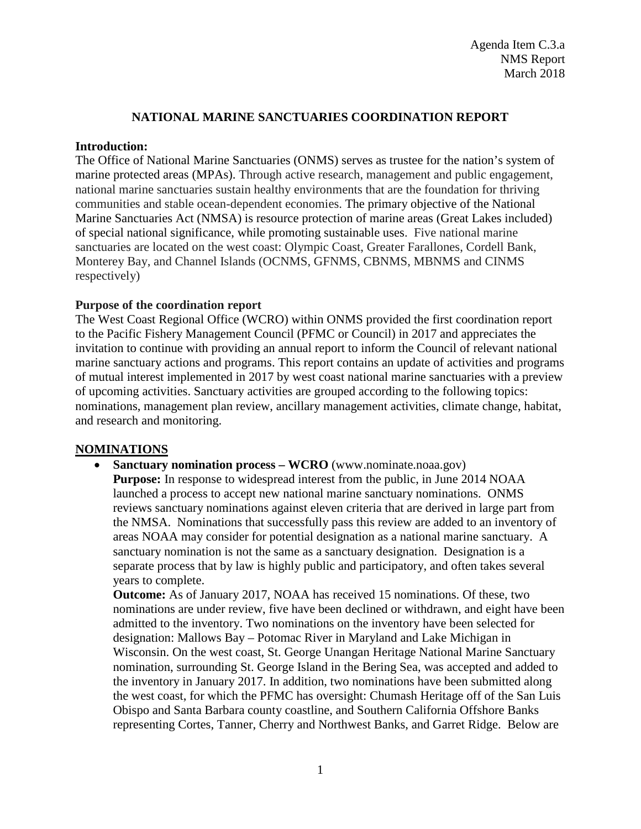## **NATIONAL MARINE SANCTUARIES COORDINATION REPORT**

### **Introduction:**

The Office of National Marine Sanctuaries (ONMS) serves as trustee for the nation's system of marine protected areas (MPAs). Through active research, management and public engagement, national marine sanctuaries sustain healthy environments that are the foundation for thriving communities and stable ocean-dependent economies. The primary objective of the National Marine Sanctuaries Act (NMSA) is resource protection of marine areas (Great Lakes included) of special national significance, while promoting sustainable uses. Five national marine sanctuaries are located on the west coast: Olympic Coast, Greater Farallones, Cordell Bank, Monterey Bay, and Channel Islands (OCNMS, GFNMS, CBNMS, MBNMS and CINMS respectively)

### **Purpose of the coordination report**

The West Coast Regional Office (WCRO) within ONMS provided the first coordination report to the Pacific Fishery Management Council (PFMC or Council) in 2017 and appreciates the invitation to continue with providing an annual report to inform the Council of relevant national marine sanctuary actions and programs. This report contains an update of activities and programs of mutual interest implemented in 2017 by west coast national marine sanctuaries with a preview of upcoming activities. Sanctuary activities are grouped according to the following topics: nominations, management plan review, ancillary management activities, climate change, habitat, and research and monitoring.

## **NOMINATIONS**

• **Sanctuary nomination process – WCRO** (www.nominate.noaa.gov) **Purpose:** In response to widespread interest from the public, in June 2014 NOAA launched a process to accept new national marine sanctuary nominations. ONMS reviews sanctuary nominations against eleven criteria that are derived in large part from the NMSA. Nominations that successfully pass this review are added to an inventory of areas NOAA may consider for potential designation as a national marine sanctuary. A sanctuary nomination is not the same as a sanctuary designation. Designation is a separate process that by law is highly public and participatory, and often takes several years to complete.

**Outcome:** As of January 2017, NOAA has received 15 nominations. Of these, two nominations are under review, five have been declined or withdrawn, and eight have been admitted to the inventory. Two nominations on the inventory have been selected for designation: Mallows Bay – Potomac River in Maryland and Lake Michigan in Wisconsin. On the west coast, St. George Unangan Heritage National Marine Sanctuary nomination, surrounding St. George Island in the Bering Sea, was accepted and added to the inventory in January 2017. In addition, two nominations have been submitted along the west coast, for which the PFMC has oversight: Chumash Heritage off of the San Luis Obispo and Santa Barbara county coastline, and Southern California Offshore Banks representing Cortes, Tanner, Cherry and Northwest Banks, and Garret Ridge. Below are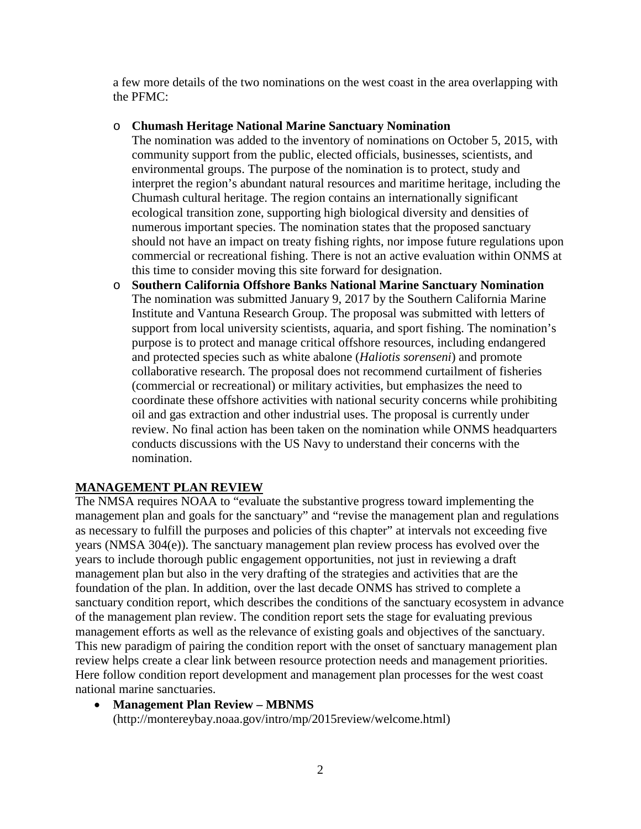a few more details of the two nominations on the west coast in the area overlapping with the PFMC:

## o **Chumash Heritage National Marine Sanctuary Nomination**

The nomination was added to the inventory of nominations on October 5, 2015, with community support from the public, elected officials, businesses, scientists, and environmental groups. The purpose of the nomination is to protect, study and interpret the region's abundant natural resources and maritime heritage, including the Chumash cultural heritage. The region contains an internationally significant ecological transition zone, supporting high biological diversity and densities of numerous important species. The nomination states that the proposed sanctuary should not have an impact on treaty fishing rights, nor impose future regulations upon commercial or recreational fishing. There is not an active evaluation within ONMS at this time to consider moving this site forward for designation.

o **Southern California Offshore Banks National Marine Sanctuary Nomination** The nomination was submitted January 9, 2017 by the Southern California Marine Institute and Vantuna Research Group. The proposal was submitted with letters of support from local university scientists, aquaria, and sport fishing. The nomination's purpose is to protect and manage critical offshore resources, including endangered and protected species such as white abalone (*Haliotis sorenseni*) and promote collaborative research. The proposal does not recommend curtailment of fisheries (commercial or recreational) or military activities, but emphasizes the need to coordinate these offshore activities with national security concerns while prohibiting oil and gas extraction and other industrial uses. The proposal is currently under review. No final action has been taken on the nomination while ONMS headquarters conducts discussions with the US Navy to understand their concerns with the nomination.

# **MANAGEMENT PLAN REVIEW**

The NMSA requires NOAA to "evaluate the substantive progress toward implementing the management plan and goals for the sanctuary" and "revise the management plan and regulations as necessary to fulfill the purposes and policies of this chapter" at intervals not exceeding five years (NMSA 304(e)). The sanctuary management plan review process has evolved over the years to include thorough public engagement opportunities, not just in reviewing a draft management plan but also in the very drafting of the strategies and activities that are the foundation of the plan. In addition, over the last decade ONMS has strived to complete a sanctuary condition report, which describes the conditions of the sanctuary ecosystem in advance of the management plan review. The condition report sets the stage for evaluating previous management efforts as well as the relevance of existing goals and objectives of the sanctuary. This new paradigm of pairing the condition report with the onset of sanctuary management plan review helps create a clear link between resource protection needs and management priorities. Here follow condition report development and management plan processes for the west coast national marine sanctuaries.

• **Management Plan Review – MBNMS** (http://montereybay.noaa.gov/intro/mp/2015review/welcome.html)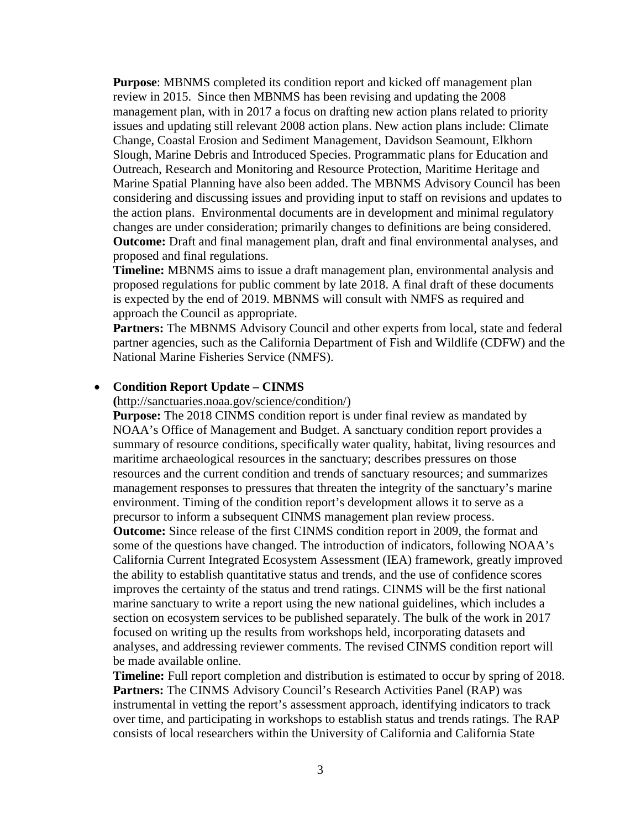**Purpose**: MBNMS completed its condition report and kicked off management plan review in 2015. Since then MBNMS has been revising and updating the 2008 management plan, with in 2017 a focus on drafting new action plans related to priority issues and updating still relevant 2008 action plans. New action plans include: Climate Change, Coastal Erosion and Sediment Management, Davidson Seamount, Elkhorn Slough, Marine Debris and Introduced Species. Programmatic plans for Education and Outreach, Research and Monitoring and Resource Protection, Maritime Heritage and Marine Spatial Planning have also been added. The MBNMS Advisory Council has been considering and discussing issues and providing input to staff on revisions and updates to the action plans. Environmental documents are in development and minimal regulatory changes are under consideration; primarily changes to definitions are being considered. **Outcome:** Draft and final management plan, draft and final environmental analyses, and proposed and final regulations.

**Timeline:** MBNMS aims to issue a draft management plan, environmental analysis and proposed regulations for public comment by late 2018. A final draft of these documents is expected by the end of 2019. MBNMS will consult with NMFS as required and approach the Council as appropriate.

**Partners:** The MBNMS Advisory Council and other experts from local, state and federal partner agencies, such as the California Department of Fish and Wildlife (CDFW) and the National Marine Fisheries Service (NMFS).

#### • **Condition Report Update – CINMS**

**(**[http://sanctuaries.noaa.gov/science/condition/\)](http://sanctuaries.noaa.gov/science/condition/)

**Purpose:** The 2018 CINMS condition report is under final review as mandated by NOAA's Office of Management and Budget. A sanctuary condition report provides a summary of resource conditions, specifically water quality, habitat, living resources and maritime archaeological resources in the sanctuary; describes pressures on those resources and the current condition and trends of sanctuary resources; and summarizes management responses to pressures that threaten the integrity of the sanctuary's marine environment. Timing of the condition report's development allows it to serve as a precursor to inform a subsequent CINMS management plan review process. **Outcome:** Since release of the first CINMS condition report in 2009, the format and some of the questions have changed. The introduction of indicators, following NOAA's California Current Integrated Ecosystem Assessment (IEA) framework, greatly improved the ability to establish quantitative status and trends, and the use of confidence scores improves the certainty of the status and trend ratings. CINMS will be the first national marine sanctuary to write a report using the new national guidelines, which includes a section on ecosystem services to be published separately. The bulk of the work in 2017 focused on writing up the results from workshops held, incorporating datasets and analyses, and addressing reviewer comments. The revised CINMS condition report will be made available online.

**Timeline:** Full report completion and distribution is estimated to occur by spring of 2018. **Partners:** The CINMS Advisory Council's Research Activities Panel (RAP) was instrumental in vetting the report's assessment approach, identifying indicators to track over time, and participating in workshops to establish status and trends ratings. The RAP consists of local researchers within the University of California and California State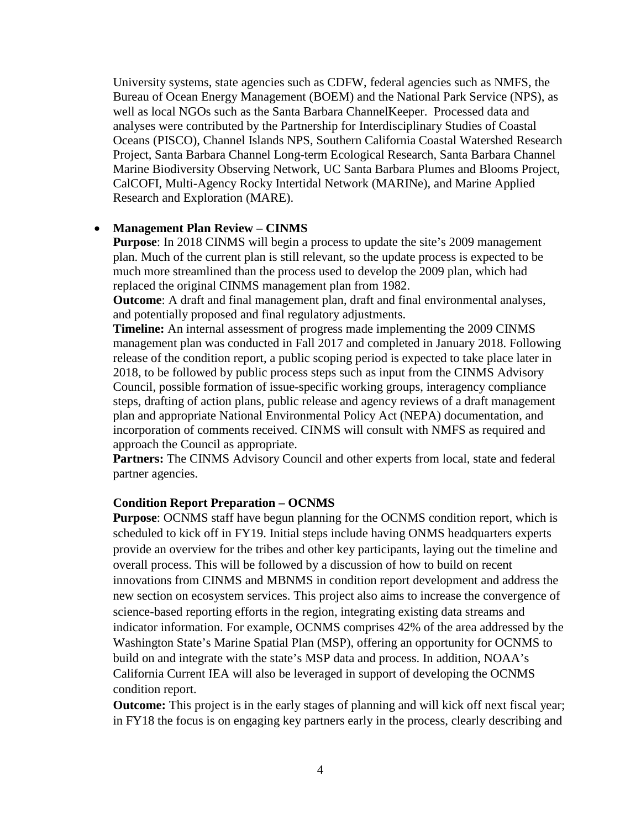University systems, state agencies such as CDFW, federal agencies such as NMFS, the Bureau of Ocean Energy Management (BOEM) and the National Park Service (NPS), as well as local NGOs such as the Santa Barbara ChannelKeeper. Processed data and analyses were contributed by the Partnership for Interdisciplinary Studies of Coastal Oceans (PISCO), Channel Islands NPS, Southern California Coastal Watershed Research Project, Santa Barbara Channel Long-term Ecological Research, Santa Barbara Channel Marine Biodiversity Observing Network, UC Santa Barbara Plumes and Blooms Project, CalCOFI, Multi-Agency Rocky Intertidal Network (MARINe), and Marine Applied Research and Exploration (MARE).

### • **Management Plan Review – CINMS**

**Purpose**: In 2018 CINMS will begin a process to update the site's 2009 management plan. Much of the current plan is still relevant, so the update process is expected to be much more streamlined than the process used to develop the 2009 plan, which had replaced the original CINMS management plan from 1982.

**Outcome**: A draft and final management plan, draft and final environmental analyses, and potentially proposed and final regulatory adjustments.

**Timeline:** An internal assessment of progress made implementing the 2009 CINMS management plan was conducted in Fall 2017 and completed in January 2018. Following release of the condition report, a public scoping period is expected to take place later in 2018, to be followed by public process steps such as input from the CINMS Advisory Council, possible formation of issue-specific working groups, interagency compliance steps, drafting of action plans, public release and agency reviews of a draft management plan and appropriate National Environmental Policy Act (NEPA) documentation, and incorporation of comments received. CINMS will consult with NMFS as required and approach the Council as appropriate.

**Partners:** The CINMS Advisory Council and other experts from local, state and federal partner agencies.

#### **Condition Report Preparation – OCNMS**

**Purpose**: OCNMS staff have begun planning for the OCNMS condition report, which is scheduled to kick off in FY19. Initial steps include having ONMS headquarters experts provide an overview for the tribes and other key participants, laying out the timeline and overall process. This will be followed by a discussion of how to build on recent innovations from CINMS and MBNMS in condition report development and address the new section on ecosystem services. This project also aims to increase the convergence of science-based reporting efforts in the region, integrating existing data streams and indicator information. For example, OCNMS comprises 42% of the area addressed by the Washington State's Marine Spatial Plan (MSP), offering an opportunity for OCNMS to build on and integrate with the state's MSP data and process. In addition, NOAA's California Current IEA will also be leveraged in support of developing the OCNMS condition report.

**Outcome:** This project is in the early stages of planning and will kick off next fiscal year; in FY18 the focus is on engaging key partners early in the process, clearly describing and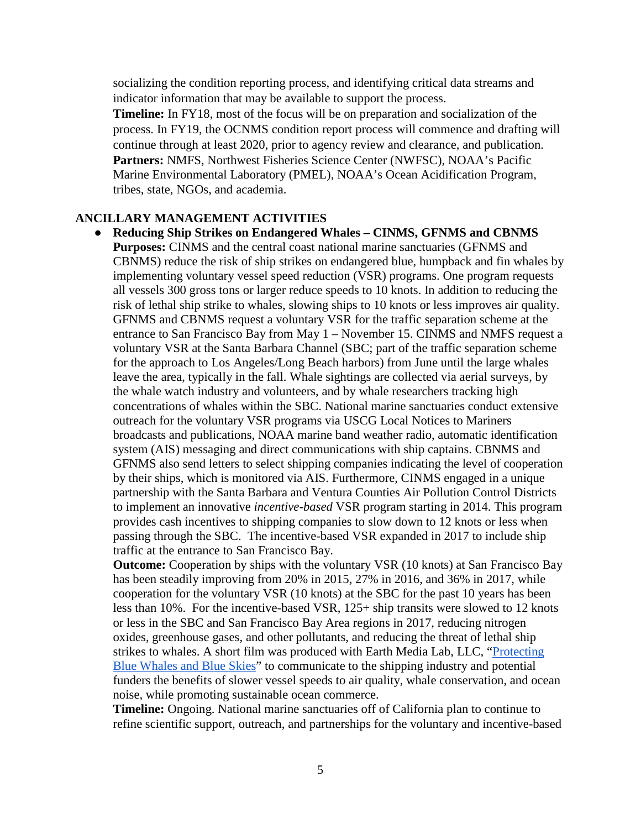socializing the condition reporting process, and identifying critical data streams and indicator information that may be available to support the process.

**Timeline:** In FY18, most of the focus will be on preparation and socialization of the process. In FY19, the OCNMS condition report process will commence and drafting will continue through at least 2020, prior to agency review and clearance, and publication. **Partners:** NMFS, Northwest Fisheries Science Center (NWFSC), NOAA's Pacific Marine Environmental Laboratory (PMEL), NOAA's Ocean Acidification Program, tribes, state, NGOs, and academia.

## **ANCILLARY MANAGEMENT ACTIVITIES**

● **Reducing Ship Strikes on Endangered Whales – CINMS, GFNMS and CBNMS Purposes:** CINMS and the central coast national marine sanctuaries (GFNMS and CBNMS) reduce the risk of ship strikes on endangered blue, humpback and fin whales by implementing voluntary vessel speed reduction (VSR) programs. One program requests all vessels 300 gross tons or larger reduce speeds to 10 knots. In addition to reducing the risk of lethal ship strike to whales, slowing ships to 10 knots or less improves air quality. GFNMS and CBNMS request a voluntary VSR for the traffic separation scheme at the entrance to San Francisco Bay from May 1 – November 15. CINMS and NMFS request a voluntary VSR at the Santa Barbara Channel (SBC; part of the traffic separation scheme for the approach to Los Angeles/Long Beach harbors) from June until the large whales leave the area, typically in the fall. Whale sightings are collected via aerial surveys, by the whale watch industry and volunteers, and by whale researchers tracking high concentrations of whales within the SBC. National marine sanctuaries conduct extensive outreach for the voluntary VSR programs via USCG Local Notices to Mariners broadcasts and publications, NOAA marine band weather radio, automatic identification system (AIS) messaging and direct communications with ship captains. CBNMS and GFNMS also send letters to select shipping companies indicating the level of cooperation by their ships, which is monitored via AIS. Furthermore, CINMS engaged in a unique partnership with the Santa Barbara and Ventura Counties Air Pollution Control Districts to implement an innovative *incentive-based* VSR program starting in 2014. This program provides cash incentives to shipping companies to slow down to 12 knots or less when passing through the SBC. The incentive-based VSR expanded in 2017 to include ship traffic at the entrance to San Francisco Bay.

**Outcome:** Cooperation by ships with the voluntary VSR (10 knots) at San Francisco Bay has been steadily improving from 20% in 2015, 27% in 2016, and 36% in 2017, while cooperation for the voluntary VSR (10 knots) at the SBC for the past 10 years has been less than 10%. For the incentive-based VSR, 125+ ship transits were slowed to 12 knots or less in the SBC and San Francisco Bay Area regions in 2017, reducing nitrogen oxides, greenhouse gases, and other pollutants, and reducing the threat of lethal ship strikes to whales. A short film was produced with Earth Media Lab, LLC, ["Protecting](https://www.youtube.com/watch?v=ryrM-PpA2wg)  [Blue Whales and Blue Skies"](https://www.youtube.com/watch?v=ryrM-PpA2wg) to communicate to the shipping industry and potential funders the benefits of slower vessel speeds to air quality, whale conservation, and ocean noise, while promoting sustainable ocean commerce.

**Timeline:** Ongoing. National marine sanctuaries off of California plan to continue to refine scientific support, outreach, and partnerships for the voluntary and incentive-based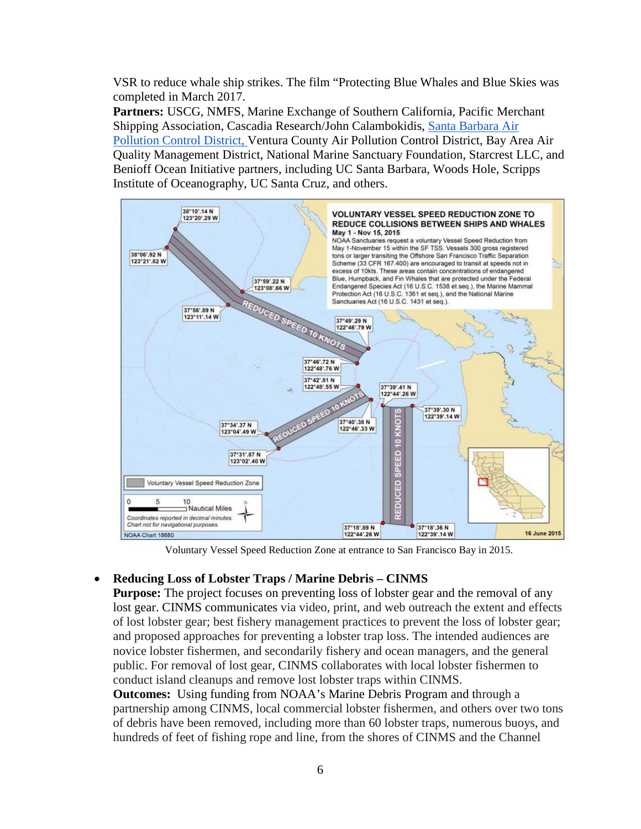VSR to reduce whale ship strikes. The film "Protecting Blue Whales and Blue Skies was completed in March 2017.

**Partners:** USCG, NMFS, Marine Exchange of Southern California, Pacific Merchant Shipping Association, Cascadia Research/John Calambokidis, [Santa Barbara Air](https://www.ourair.org/air-pollution-marine-shipping/)  [Pollution Control District,](https://www.ourair.org/air-pollution-marine-shipping/) Ventura County Air Pollution Control District, Bay Area Air Quality Management District, National Marine Sanctuary Foundation, Starcrest LLC, and Benioff Ocean Initiative partners, including UC Santa Barbara, Woods Hole, Scripps Institute of Oceanography, UC Santa Cruz, and others.



Voluntary Vessel Speed Reduction Zone at entrance to San Francisco Bay in 2015.

## • **Reducing Loss of Lobster Traps / Marine Debris – CINMS**

**Purpose:** The project focuses on preventing loss of lobster gear and the removal of any lost gear. CINMS communicates via video, print, and web outreach the extent and effects of lost lobster gear; best fishery management practices to prevent the loss of lobster gear; and proposed approaches for preventing a lobster trap loss. The intended audiences are novice lobster fishermen, and secondarily fishery and ocean managers, and the general public. For removal of lost gear, CINMS collaborates with local lobster fishermen to conduct island cleanups and remove lost lobster traps within CINMS.

**Outcomes:** Using funding from NOAA's Marine Debris Program and through a partnership among CINMS, local commercial lobster fishermen, and others over two tons of debris have been removed, including more than 60 lobster traps, numerous buoys, and hundreds of feet of fishing rope and line, from the shores of CINMS and the Channel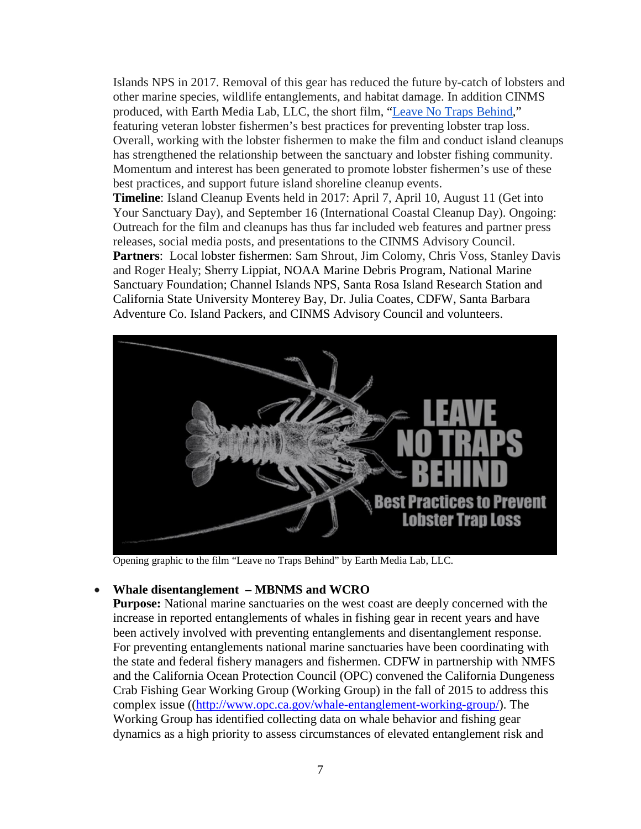Islands NPS in 2017. Removal of this gear has reduced the future by-catch of lobsters and other marine species, wildlife entanglements, and habitat damage. In addition CINMS produced, with Earth Media Lab, LLC, the short film, ["Leave No Traps Behind,](https://vimeo.com/216612437)" featuring veteran lobster fishermen's best practices for preventing lobster trap loss. Overall, working with the lobster fishermen to make the film and conduct island cleanups has strengthened the relationship between the sanctuary and lobster fishing community. Momentum and interest has been generated to promote lobster fishermen's use of these best practices, and support future island shoreline cleanup events.

**Timeline**: Island Cleanup Events held in 2017: April 7, April 10, August 11 (Get into Your Sanctuary Day), and September 16 (International Coastal Cleanup Day). Ongoing: Outreach for the film and cleanups has thus far included web features and partner press releases, social media posts, and presentations to the CINMS Advisory Council. Partners: Local lobster fishermen: Sam Shrout, Jim Colomy, Chris Voss, Stanley Davis and Roger Healy; Sherry Lippiat, NOAA Marine Debris Program, National Marine Sanctuary Foundation; Channel Islands NPS, Santa Rosa Island Research Station and California State University Monterey Bay, Dr. Julia Coates, CDFW, Santa Barbara Adventure Co. Island Packers, and CINMS Advisory Council and volunteers.



Opening graphic to the film "Leave no Traps Behind" by Earth Media Lab, LLC.

## • **Whale disentanglement – MBNMS and WCRO**

**Purpose:** National marine sanctuaries on the west coast are deeply concerned with the increase in reported entanglements of whales in fishing gear in recent years and have been actively involved with preventing entanglements and disentanglement response. For preventing entanglements national marine sanctuaries have been coordinating with the state and federal fishery managers and fishermen. CDFW in partnership with NMFS and the California Ocean Protection Council (OPC) convened the California Dungeness Crab Fishing Gear Working Group (Working Group) in the fall of 2015 to address this complex issue ([\(http://www.opc.ca.gov/whale-entanglement-working-group/\)](http://www.opc.ca.gov/whale-entanglement-working-group/). The Working Group has identified collecting data on whale behavior and fishing gear dynamics as a high priority to assess circumstances of elevated entanglement risk and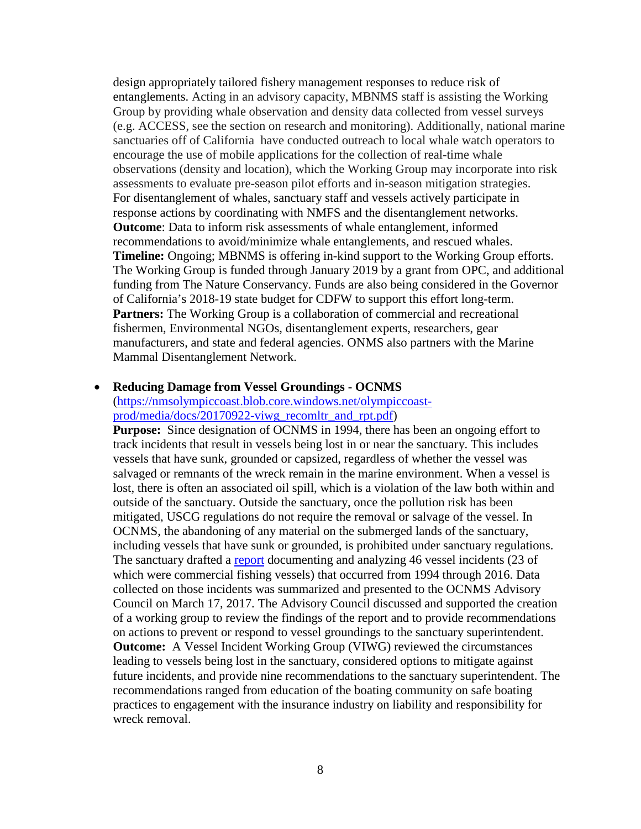design appropriately tailored fishery management responses to reduce risk of entanglements. Acting in an advisory capacity, MBNMS staff is assisting the Working Group by providing whale observation and density data collected from vessel surveys (e.g. ACCESS, see the section on research and monitoring). Additionally, national marine sanctuaries off of California have conducted outreach to local whale watch operators to encourage the use of mobile applications for the collection of real-time whale observations (density and location), which the Working Group may incorporate into risk assessments to evaluate pre-season pilot efforts and in-season mitigation strategies. For disentanglement of whales, sanctuary staff and vessels actively participate in response actions by coordinating with NMFS and the disentanglement networks. **Outcome**: Data to inform risk assessments of whale entanglement, informed recommendations to avoid/minimize whale entanglements, and rescued whales. **Timeline:** Ongoing; MBNMS is offering in-kind support to the Working Group efforts. The Working Group is funded through January 2019 by a grant from OPC, and additional funding from The Nature Conservancy. Funds are also being considered in the Governor of California's 2018-19 state budget for CDFW to support this effort long-term. **Partners:** The Working Group is a collaboration of commercial and recreational fishermen, Environmental NGOs, disentanglement experts, researchers, gear manufacturers, and state and federal agencies. ONMS also partners with the Marine Mammal Disentanglement Network.

#### • **Reducing Damage from Vessel Groundings - OCNMS**

## [\(https://nmsolympiccoast.blob.core.windows.net/olympiccoast](https://nmsolympiccoast.blob.core.windows.net/olympiccoast-prod/media/docs/20170922-viwg_recomltr_and_rpt.pdf)[prod/media/docs/20170922-viwg\\_recomltr\\_and\\_rpt.pdf\)](https://nmsolympiccoast.blob.core.windows.net/olympiccoast-prod/media/docs/20170922-viwg_recomltr_and_rpt.pdf)

**Purpose:** Since designation of OCNMS in 1994, there has been an ongoing effort to track incidents that result in vessels being lost in or near the sanctuary. This includes vessels that have sunk, grounded or capsized, regardless of whether the vessel was salvaged or remnants of the wreck remain in the marine environment. When a vessel is lost, there is often an associated oil spill, which is a violation of the law both within and outside of the sanctuary. Outside the sanctuary, once the pollution risk has been mitigated, USCG regulations do not require the removal or salvage of the vessel. In OCNMS, the abandoning of any material on the submerged lands of the sanctuary, including vessels that have sunk or grounded, is prohibited under sanctuary regulations. The sanctuary drafted a [report](https://sanctuaries.noaa.gov/science/conservation/olympic-coast-vessel-incident-1994-to-2016.html) documenting and analyzing 46 vessel incidents (23 of which were commercial fishing vessels) that occurred from 1994 through 2016. Data collected on those incidents was summarized and presented to the OCNMS Advisory Council on March 17, 2017. The Advisory Council discussed and supported the creation of a working group to review the findings of the report and to provide recommendations on actions to prevent or respond to vessel groundings to the sanctuary superintendent. **Outcome:** A Vessel Incident Working Group (VIWG) reviewed the circumstances leading to vessels being lost in the sanctuary, considered options to mitigate against future incidents, and provide nine recommendations to the sanctuary superintendent. The recommendations ranged from education of the boating community on safe boating practices to engagement with the insurance industry on liability and responsibility for wreck removal.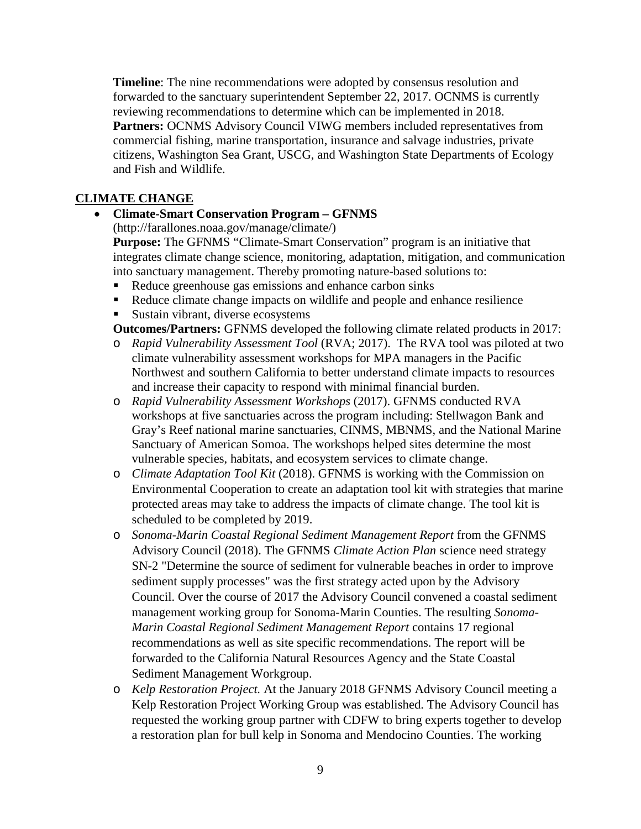**Timeline**: The nine recommendations were adopted by consensus resolution and forwarded to the sanctuary superintendent September 22, 2017. OCNMS is currently reviewing recommendations to determine which can be implemented in 2018. **Partners: OCNMS** Advisory Council VIWG members included representatives from commercial fishing, marine transportation, insurance and salvage industries, private citizens, Washington Sea Grant, USCG, and Washington State Departments of Ecology and Fish and Wildlife.

## **CLIMATE CHANGE**

## • **Climate-Smart Conservation Program – GFNMS**

(http://farallones.noaa.gov/manage/climate/)

**Purpose:** The GFNMS "Climate-Smart Conservation" program is an initiative that integrates climate change science, monitoring, adaptation, mitigation, and communication into sanctuary management. Thereby promoting nature-based solutions to:

- Reduce greenhouse gas emissions and enhance carbon sinks
- Reduce climate change impacts on wildlife and people and enhance resilience
- Sustain vibrant, diverse ecosystems

**Outcomes/Partners:** GFNMS developed the following climate related products in 2017:

- o *Rapid Vulnerability Assessment Tool* (RVA; 2017). The RVA tool was piloted at two climate vulnerability assessment workshops for MPA managers in the Pacific Northwest and southern California to better understand climate impacts to resources and increase their capacity to respond with minimal financial burden.
- o *Rapid Vulnerability Assessment Workshops* (2017). GFNMS conducted RVA workshops at five sanctuaries across the program including: Stellwagon Bank and Gray's Reef national marine sanctuaries, CINMS, MBNMS, and the National Marine Sanctuary of American Somoa. The workshops helped sites determine the most vulnerable species, habitats, and ecosystem services to climate change.
- o *Climate Adaptation Tool Kit* (2018). GFNMS is working with the Commission on Environmental Cooperation to create an adaptation tool kit with strategies that marine protected areas may take to address the impacts of climate change. The tool kit is scheduled to be completed by 2019.
- o *Sonoma-Marin Coastal Regional Sediment Management Report* from the GFNMS Advisory Council (2018). The GFNMS *Climate Action Plan* science need strategy SN-2 "Determine the source of sediment for vulnerable beaches in order to improve sediment supply processes" was the first strategy acted upon by the Advisory Council. Over the course of 2017 the Advisory Council convened a coastal sediment management working group for Sonoma-Marin Counties. The resulting *Sonoma-Marin Coastal Regional Sediment Management Report* contains 17 regional recommendations as well as site specific recommendations. The report will be forwarded to the California Natural Resources Agency and the State Coastal Sediment Management Workgroup.
- o *Kelp Restoration Project.* At the January 2018 GFNMS Advisory Council meeting a Kelp Restoration Project Working Group was established. The Advisory Council has requested the working group partner with CDFW to bring experts together to develop a restoration plan for bull kelp in Sonoma and Mendocino Counties. The working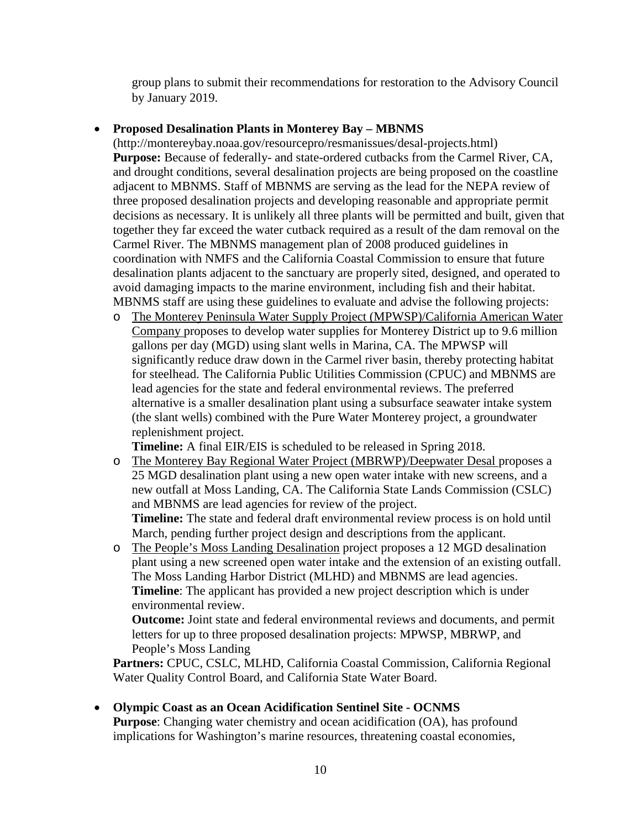group plans to submit their recommendations for restoration to the Advisory Council by January 2019.

# • **Proposed Desalination Plants in Monterey Bay – MBNMS**

(http://montereybay.noaa.gov/resourcepro/resmanissues/desal-projects.html) **Purpose:** Because of federally- and state-ordered cutbacks from the Carmel River, CA, and drought conditions, several desalination projects are being proposed on the coastline adjacent to MBNMS. Staff of MBNMS are serving as the lead for the NEPA review of three proposed desalination projects and developing reasonable and appropriate permit decisions as necessary. It is unlikely all three plants will be permitted and built, given that together they far exceed the water cutback required as a result of the dam removal on the Carmel River. The MBNMS management plan of 2008 produced guidelines in coordination with NMFS and the California Coastal Commission to ensure that future desalination plants adjacent to the sanctuary are properly sited, designed, and operated to avoid damaging impacts to the marine environment, including fish and their habitat. MBNMS staff are using these guidelines to evaluate and advise the following projects:

o The Monterey Peninsula Water Supply Project (MPWSP)/California American Water Company proposes to develop water supplies for Monterey District up to 9.6 million gallons per day (MGD) using slant wells in Marina, CA. The MPWSP will significantly reduce draw down in the Carmel river basin, thereby protecting habitat for steelhead. The California Public Utilities Commission (CPUC) and MBNMS are lead agencies for the state and federal environmental reviews. The preferred alternative is a smaller desalination plant using a subsurface seawater intake system (the slant wells) combined with the Pure Water Monterey project, a groundwater replenishment project.

**Timeline:** A final EIR/EIS is scheduled to be released in Spring 2018.

- o The Monterey Bay Regional Water Project (MBRWP)/Deepwater Desal proposes a 25 MGD desalination plant using a new open water intake with new screens, and a new outfall at Moss Landing, CA. The California State Lands Commission (CSLC) and MBNMS are lead agencies for review of the project. **Timeline:** The state and federal draft environmental review process is on hold until March, pending further project design and descriptions from the applicant.
- o The People's Moss Landing Desalination project proposes a 12 MGD desalination plant using a new screened open water intake and the extension of an existing outfall. The Moss Landing Harbor District (MLHD) and MBNMS are lead agencies. **Timeline**: The applicant has provided a new project description which is under environmental review.

**Outcome:** Joint state and federal environmental reviews and documents, and permit letters for up to three proposed desalination projects: MPWSP, MBRWP, and People's Moss Landing

**Partners:** CPUC, CSLC, MLHD, California Coastal Commission, California Regional Water Quality Control Board, and California State Water Board.

• **Olympic Coast as an Ocean Acidification Sentinel Site - OCNMS Purpose**: Changing water chemistry and ocean acidification (OA), has profound implications for Washington's marine resources, threatening coastal economies,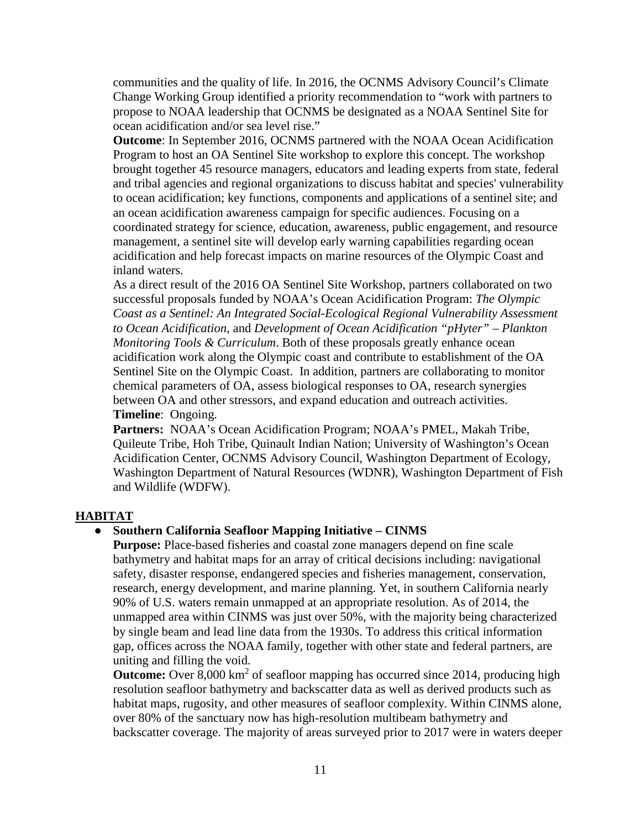communities and the quality of life. In 2016, the OCNMS Advisory Council's Climate Change Working Group identified a priority recommendation to "work with partners to propose to NOAA leadership that OCNMS be designated as a NOAA Sentinel Site for ocean acidification and/or sea level rise."

**Outcome**: In September 2016, OCNMS partnered with the NOAA Ocean Acidification Program to host an OA Sentinel Site workshop to explore this concept. The workshop brought together 45 resource managers, educators and leading experts from state, federal and tribal agencies and regional organizations to discuss habitat and species' vulnerability to ocean acidification; key functions, components and applications of a sentinel site; and an ocean acidification awareness campaign for specific audiences. Focusing on a coordinated strategy for science, education, awareness, public engagement, and resource management, a sentinel site will develop early warning capabilities regarding ocean acidification and help forecast impacts on marine resources of the Olympic Coast and inland waters.

As a direct result of the 2016 OA Sentinel Site Workshop, partners collaborated on two successful proposals funded by NOAA's Ocean Acidification Program: *The Olympic Coast as a Sentinel: An Integrated Social-Ecological Regional Vulnerability Assessment to Ocean Acidification*, and *Development of Ocean Acidification "pHyter" – Plankton Monitoring Tools & Curriculum*. Both of these proposals greatly enhance ocean acidification work along the Olympic coast and contribute to establishment of the OA Sentinel Site on the Olympic Coast. In addition, partners are collaborating to monitor chemical parameters of OA, assess biological responses to OA, research synergies between OA and other stressors, and expand education and outreach activities. **Timeline**: Ongoing.

**Partners:** NOAA's Ocean Acidification Program; NOAA's PMEL, Makah Tribe, Quileute Tribe, Hoh Tribe, Quinault Indian Nation; University of Washington's Ocean Acidification Center, OCNMS Advisory Council, Washington Department of Ecology, Washington Department of Natural Resources (WDNR), Washington Department of Fish and Wildlife (WDFW).

#### **HABITAT**

#### ● **Southern California Seafloor Mapping Initiative – CINMS**

**Purpose:** Place-based fisheries and coastal zone managers depend on fine scale bathymetry and habitat maps for an array of critical decisions including: navigational safety, disaster response, endangered species and fisheries management, conservation, research, energy development, and marine planning. Yet, in southern California nearly 90% of U.S. waters remain unmapped at an appropriate resolution. As of 2014, the unmapped area within CINMS was just over 50%, with the majority being characterized by single beam and lead line data from the 1930s. To address this critical information gap, offices across the NOAA family, together with other state and federal partners, are uniting and filling the void.

**Outcome:** Over 8,000 km<sup>2</sup> of seafloor mapping has occurred since 2014, producing high resolution seafloor bathymetry and backscatter data as well as derived products such as habitat maps, rugosity, and other measures of seafloor complexity. Within CINMS alone, over 80% of the sanctuary now has high-resolution multibeam bathymetry and backscatter coverage. The majority of areas surveyed prior to 2017 were in waters deeper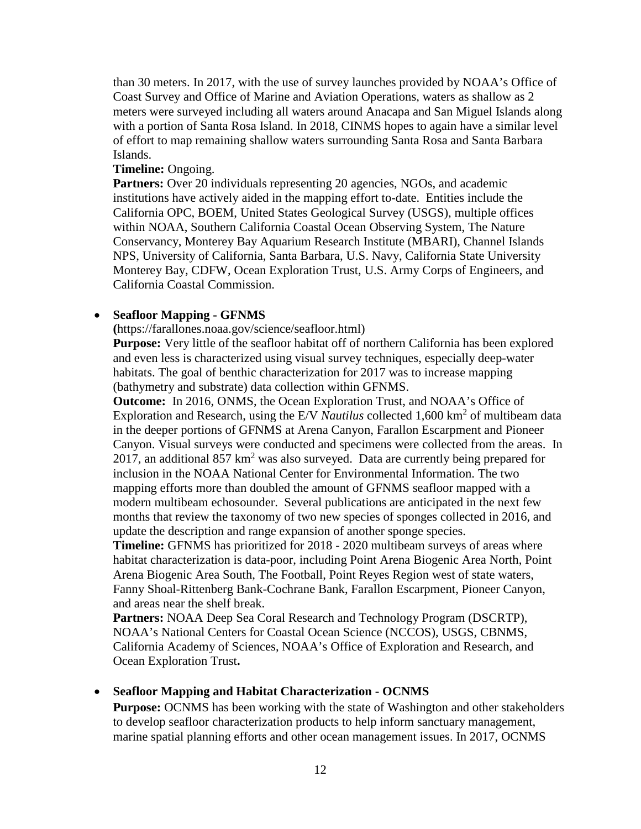than 30 meters. In 2017, with the use of survey launches provided by NOAA's Office of Coast Survey and Office of Marine and Aviation Operations, waters as shallow as 2 meters were surveyed including all waters around Anacapa and San Miguel Islands along with a portion of Santa Rosa Island. In 2018, CINMS hopes to again have a similar level of effort to map remaining shallow waters surrounding Santa Rosa and Santa Barbara Islands.

## **Timeline:** Ongoing.

Partners: Over 20 individuals representing 20 agencies, NGOs, and academic institutions have actively aided in the mapping effort to-date. Entities include the California OPC, BOEM, United States Geological Survey (USGS), multiple offices within NOAA, Southern California Coastal Ocean Observing System, The Nature Conservancy, Monterey Bay Aquarium Research Institute (MBARI), Channel Islands NPS, University of California, Santa Barbara, U.S. Navy, California State University Monterey Bay, CDFW, Ocean Exploration Trust, U.S. Army Corps of Engineers, and California Coastal Commission.

## • **Seafloor Mapping - GFNMS**

**(**https://farallones.noaa.gov/science/seafloor.html)

**Purpose:** Very little of the seafloor habitat off of northern California has been explored and even less is characterized using visual survey techniques, especially deep-water habitats. The goal of benthic characterization for 2017 was to increase mapping (bathymetry and substrate) data collection within GFNMS.

**Outcome:** In 2016, ONMS, the Ocean Exploration Trust, and NOAA's Office of Exploration and Research, using the E/V *Nautilus* collected 1,600 km<sup>2</sup> of multibeam data in the deeper portions of GFNMS at Arena Canyon, Farallon Escarpment and Pioneer Canyon. Visual surveys were conducted and specimens were collected from the areas. In 2017, an additional  $857 \text{ km}^2$  was also surveyed. Data are currently being prepared for inclusion in the NOAA National Center for Environmental Information. The two mapping efforts more than doubled the amount of GFNMS seafloor mapped with a modern multibeam echosounder. Several publications are anticipated in the next few months that review the taxonomy of two new species of sponges collected in 2016, and update the description and range expansion of another sponge species.

**Timeline:** GFNMS has prioritized for 2018 - 2020 multibeam surveys of areas where habitat characterization is data-poor, including Point Arena Biogenic Area North, Point Arena Biogenic Area South, The Football, Point Reyes Region west of state waters, Fanny Shoal-Rittenberg Bank-Cochrane Bank, Farallon Escarpment, Pioneer Canyon, and areas near the shelf break.

**Partners:** NOAA Deep Sea Coral Research and Technology Program (DSCRTP), NOAA's National Centers for Coastal Ocean Science (NCCOS), USGS, CBNMS, California Academy of Sciences, NOAA's Office of Exploration and Research, and Ocean Exploration Trust**.**

#### • **Seafloor Mapping and Habitat Characterization - OCNMS**

**Purpose:** OCNMS has been working with the state of Washington and other stakeholders to develop seafloor characterization products to help inform sanctuary management, marine spatial planning efforts and other ocean management issues. In 2017, OCNMS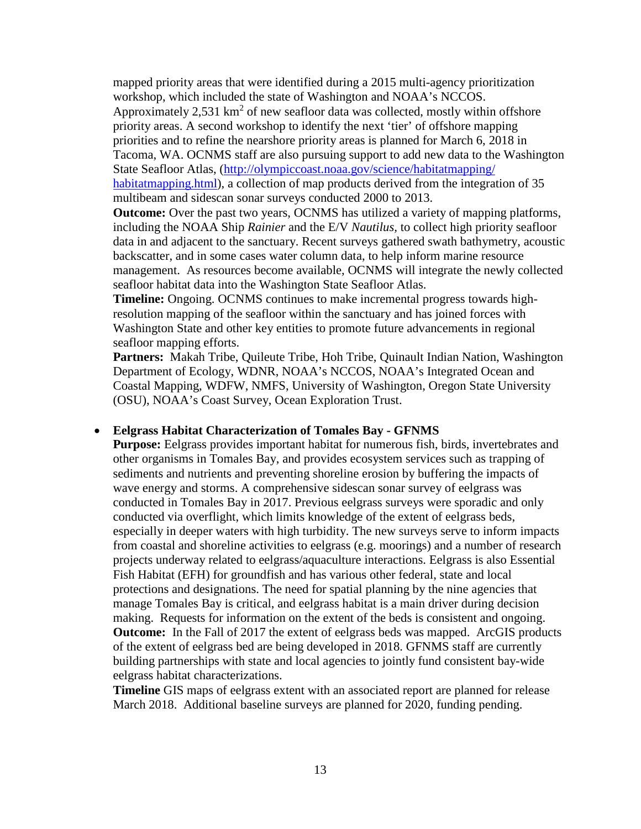mapped priority areas that were identified during a 2015 multi-agency prioritization workshop, which included the state of Washington and NOAA's NCCOS. Approximately 2,531  $km^2$  of new seafloor data was collected, mostly within offshore priority areas. A second workshop to identify the next 'tier' of offshore mapping priorities and to refine the nearshore priority areas is planned for March 6, 2018 in Tacoma, WA. OCNMS staff are also pursuing support to add new data to the Washington State Seafloor Atlas, [\(http://olympiccoast.noaa.gov/science/habitatmapping/](http://olympiccoast.noaa.gov/science/habitatmapping/%20habitatmapping.html)  [habitatmapping.html\)](http://olympiccoast.noaa.gov/science/habitatmapping/%20habitatmapping.html), a collection of map products derived from the integration of 35 multibeam and sidescan sonar surveys conducted 2000 to 2013.

**Outcome:** Over the past two years, OCNMS has utilized a variety of mapping platforms, including the NOAA Ship *Rainier* and the E/V *Nautilus,* to collect high priority seafloor data in and adjacent to the sanctuary. Recent surveys gathered swath bathymetry, acoustic backscatter, and in some cases water column data, to help inform marine resource management. As resources become available, OCNMS will integrate the newly collected seafloor habitat data into the Washington State Seafloor Atlas.

**Timeline:** Ongoing. OCNMS continues to make incremental progress towards highresolution mapping of the seafloor within the sanctuary and has joined forces with Washington State and other key entities to promote future advancements in regional seafloor mapping efforts.

**Partners:** Makah Tribe, Quileute Tribe, Hoh Tribe, Quinault Indian Nation, Washington Department of Ecology, WDNR, NOAA's NCCOS, NOAA's Integrated Ocean and Coastal Mapping, WDFW, NMFS, University of Washington, Oregon State University (OSU), NOAA's Coast Survey, Ocean Exploration Trust.

#### • **Eelgrass Habitat Characterization of Tomales Bay - GFNMS**

**Purpose:** Eelgrass provides important habitat for numerous fish, birds, invertebrates and other organisms in Tomales Bay, and provides ecosystem services such as trapping of sediments and nutrients and preventing shoreline erosion by buffering the impacts of wave energy and storms. A comprehensive sidescan sonar survey of eelgrass was conducted in Tomales Bay in 2017. Previous eelgrass surveys were sporadic and only conducted via overflight, which limits knowledge of the extent of eelgrass beds, especially in deeper waters with high turbidity. The new surveys serve to inform impacts from coastal and shoreline activities to eelgrass (e.g. moorings) and a number of research projects underway related to eelgrass/aquaculture interactions. Eelgrass is also Essential Fish Habitat (EFH) for groundfish and has various other federal, state and local protections and designations. The need for spatial planning by the nine agencies that manage Tomales Bay is critical, and eelgrass habitat is a main driver during decision making. Requests for information on the extent of the beds is consistent and ongoing. **Outcome:** In the Fall of 2017 the extent of eelgrass beds was mapped. ArcGIS products of the extent of eelgrass bed are being developed in 2018. GFNMS staff are currently building partnerships with state and local agencies to jointly fund consistent bay-wide eelgrass habitat characterizations.

**Timeline** GIS maps of eelgrass extent with an associated report are planned for release March 2018. Additional baseline surveys are planned for 2020, funding pending.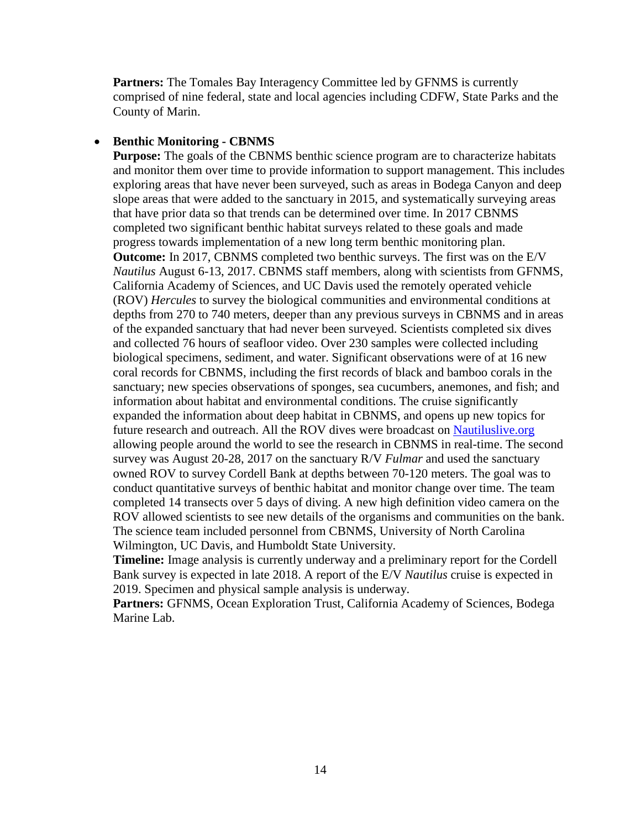**Partners:** The Tomales Bay Interagency Committee led by GFNMS is currently comprised of nine federal, state and local agencies including CDFW, State Parks and the County of Marin.

### • **Benthic Monitoring - CBNMS**

**Purpose:** The goals of the CBNMS benthic science program are to characterize habitats and monitor them over time to provide information to support management. This includes exploring areas that have never been surveyed, such as areas in Bodega Canyon and deep slope areas that were added to the sanctuary in 2015, and systematically surveying areas that have prior data so that trends can be determined over time. In 2017 CBNMS completed two significant benthic habitat surveys related to these goals and made progress towards implementation of a new long term benthic monitoring plan. **Outcome:** In 2017, CBNMS completed two benthic surveys. The first was on the E/V *Nautilus* August 6-13, 2017. CBNMS staff members, along with scientists from GFNMS, California Academy of Sciences, and UC Davis used the remotely operated vehicle (ROV) *Hercules* to survey the biological communities and environmental conditions at depths from 270 to 740 meters, deeper than any previous surveys in CBNMS and in areas of the expanded sanctuary that had never been surveyed. Scientists completed six dives and collected 76 hours of seafloor video. Over 230 samples were collected including biological specimens, sediment, and water. Significant observations were of at 16 new coral records for CBNMS, including the first records of black and bamboo corals in the sanctuary; new species observations of sponges, sea cucumbers, anemones, and fish; and information about habitat and environmental conditions. The cruise significantly expanded the information about deep habitat in CBNMS, and opens up new topics for future research and outreach. All the ROV dives were broadcast on Nautiluslive.org allowing people around the world to see the research in CBNMS in real-time. The second survey was August 20-28, 2017 on the sanctuary R/V *Fulmar* and used the sanctuary owned ROV to survey Cordell Bank at depths between 70-120 meters. The goal was to conduct quantitative surveys of benthic habitat and monitor change over time. The team completed 14 transects over 5 days of diving. A new high definition video camera on the ROV allowed scientists to see new details of the organisms and communities on the bank. The science team included personnel from CBNMS, University of North Carolina Wilmington, UC Davis, and Humboldt State University.

**Timeline:** Image analysis is currently underway and a preliminary report for the Cordell Bank survey is expected in late 2018. A report of the E/V *Nautilus* cruise is expected in 2019. Specimen and physical sample analysis is underway.

**Partners:** GFNMS, Ocean Exploration Trust, California Academy of Sciences, Bodega Marine Lab.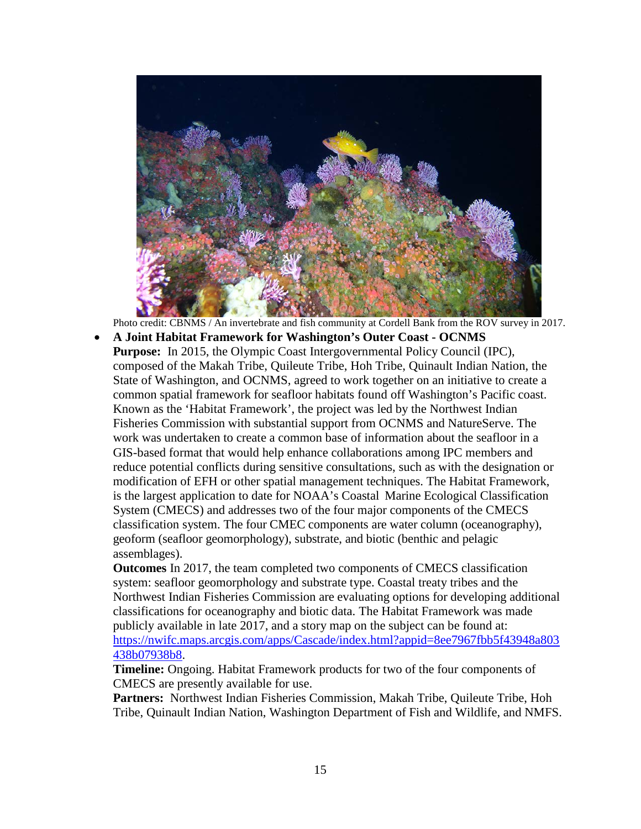

Photo credit: CBNMS / An invertebrate and fish community at Cordell Bank from the ROV survey in 2017.

• **A Joint Habitat Framework for Washington's Outer Coast - OCNMS Purpose:** In 2015, the Olympic Coast Intergovernmental Policy Council (IPC), composed of the Makah Tribe, Quileute Tribe, Hoh Tribe, Quinault Indian Nation, the State of Washington, and OCNMS, agreed to work together on an initiative to create a common spatial framework for seafloor habitats found off Washington's Pacific coast. Known as the 'Habitat Framework', the project was led by the Northwest Indian Fisheries Commission with substantial support from OCNMS and NatureServe. The work was undertaken to create a common base of information about the seafloor in a GIS-based format that would help enhance collaborations among IPC members and reduce potential conflicts during sensitive consultations, such as with the designation or modification of EFH or other spatial management techniques. The Habitat Framework, is the largest application to date for NOAA's Coastal Marine Ecological Classification System (CMECS) and addresses two of the four major components of the CMECS classification system. The four CMEC components are water column (oceanography), geoform (seafloor geomorphology), substrate, and biotic (benthic and pelagic assemblages).

**Outcomes** In 2017, the team completed two components of CMECS classification system: seafloor geomorphology and substrate type. Coastal treaty tribes and the Northwest Indian Fisheries Commission are evaluating options for developing additional classifications for oceanography and biotic data. The Habitat Framework was made publicly available in late 2017, and a story map on the subject can be found at: [https://nwifc.maps.arcgis.com/apps/Cascade/index.html?appid=8ee7967fbb5f43948a803](https://nwifc.maps.arcgis.com/apps/Cascade/index.html?appid=8ee7967fbb5f43948a803438b07938b8) [438b07938b8.](https://nwifc.maps.arcgis.com/apps/Cascade/index.html?appid=8ee7967fbb5f43948a803438b07938b8)

**Timeline:** Ongoing. Habitat Framework products for two of the four components of CMECS are presently available for use.

**Partners:** Northwest Indian Fisheries Commission, Makah Tribe, Quileute Tribe, Hoh Tribe, Quinault Indian Nation, Washington Department of Fish and Wildlife, and NMFS.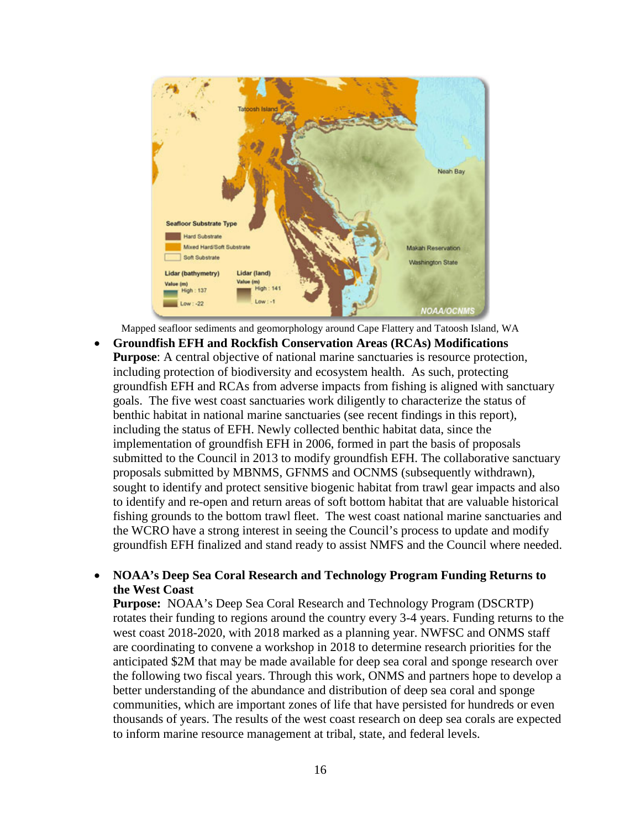

Mapped seafloor sediments and geomorphology around Cape Flattery and Tatoosh Island, WA

• **Groundfish EFH and Rockfish Conservation Areas (RCAs) Modifications Purpose**: A central objective of national marine sanctuaries is resource protection, including protection of biodiversity and ecosystem health. As such, protecting groundfish EFH and RCAs from adverse impacts from fishing is aligned with sanctuary goals. The five west coast sanctuaries work diligently to characterize the status of benthic habitat in national marine sanctuaries (see recent findings in this report), including the status of EFH. Newly collected benthic habitat data, since the implementation of groundfish EFH in 2006, formed in part the basis of proposals submitted to the Council in 2013 to modify groundfish EFH. The collaborative sanctuary proposals submitted by MBNMS, GFNMS and OCNMS (subsequently withdrawn), sought to identify and protect sensitive biogenic habitat from trawl gear impacts and also to identify and re-open and return areas of soft bottom habitat that are valuable historical fishing grounds to the bottom trawl fleet. The west coast national marine sanctuaries and the WCRO have a strong interest in seeing the Council's process to update and modify groundfish EFH finalized and stand ready to assist NMFS and the Council where needed.

## • **NOAA's Deep Sea Coral Research and Technology Program Funding Returns to the West Coast**

**Purpose:** NOAA's Deep Sea Coral Research and Technology Program (DSCRTP) rotates their funding to regions around the country every 3-4 years. Funding returns to the west coast 2018-2020, with 2018 marked as a planning year. NWFSC and ONMS staff are coordinating to convene a workshop in 2018 to determine research priorities for the anticipated \$2M that may be made available for deep sea coral and sponge research over the following two fiscal years. Through this work, ONMS and partners hope to develop a better understanding of the abundance and distribution of deep sea coral and sponge communities, which are important zones of life that have persisted for hundreds or even thousands of years. The results of the west coast research on deep sea corals are expected to inform marine resource management at tribal, state, and federal levels.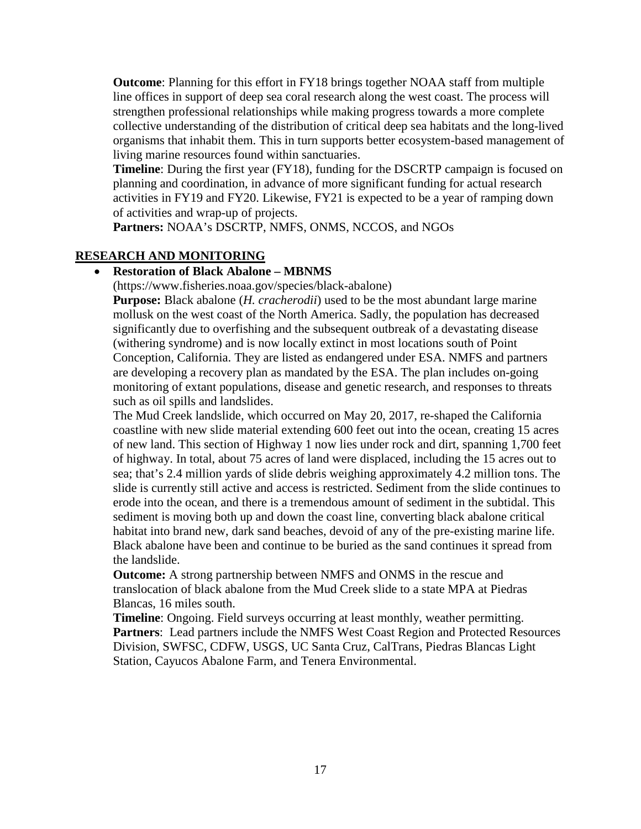**Outcome**: Planning for this effort in FY18 brings together NOAA staff from multiple line offices in support of deep sea coral research along the west coast. The process will strengthen professional relationships while making progress towards a more complete collective understanding of the distribution of critical deep sea habitats and the long-lived organisms that inhabit them. This in turn supports better ecosystem-based management of living marine resources found within sanctuaries.

**Timeline**: During the first year (FY18), funding for the DSCRTP campaign is focused on planning and coordination, in advance of more significant funding for actual research activities in FY19 and FY20. Likewise, FY21 is expected to be a year of ramping down of activities and wrap-up of projects.

**Partners:** NOAA's DSCRTP, NMFS, ONMS, NCCOS, and NGOs

# **RESEARCH AND MONITORING**

## • **Restoration of Black Abalone – MBNMS**

(https://www.fisheries.noaa.gov/species/black-abalone)

**Purpose:** Black abalone (*H. cracherodii*) used to be the most abundant large marine mollusk on the west coast of the North America. Sadly, the population has decreased significantly due to overfishing and the subsequent outbreak of a devastating disease (withering syndrome) and is now locally extinct in most locations south of Point Conception, California. They are listed as endangered under ESA. NMFS and partners are developing a recovery plan as mandated by the ESA. The plan includes on-going monitoring of extant populations, disease and genetic research, and responses to threats such as oil spills and landslides.

The Mud Creek landslide, which occurred on May 20, 2017, re-shaped the California coastline with new slide material extending 600 feet out into the ocean, creating 15 acres of new land. This section of Highway 1 now lies under rock and dirt, spanning 1,700 feet of highway. In total, about 75 acres of land were displaced, including the 15 acres out to sea; that's 2.4 million yards of slide debris weighing approximately 4.2 million tons. The slide is currently still active and access is restricted. Sediment from the slide continues to erode into the ocean, and there is a tremendous amount of sediment in the subtidal. This sediment is moving both up and down the coast line, converting black abalone critical habitat into brand new, dark sand beaches, devoid of any of the pre-existing marine life. Black abalone have been and continue to be buried as the sand continues it spread from the landslide.

**Outcome:** A strong partnership between NMFS and ONMS in the rescue and translocation of black abalone from the Mud Creek slide to a state MPA at Piedras Blancas, 16 miles south.

**Timeline**: Ongoing. Field surveys occurring at least monthly, weather permitting. **Partners**: Lead partners include the NMFS West Coast Region and Protected Resources Division, SWFSC, CDFW, USGS, UC Santa Cruz, CalTrans, Piedras Blancas Light Station, Cayucos Abalone Farm, and Tenera Environmental.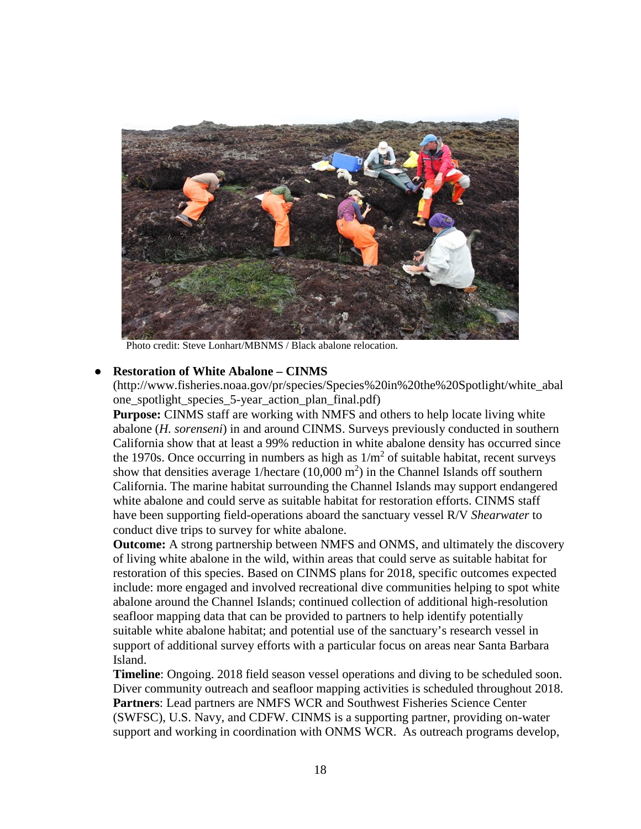

Photo credit: Steve Lonhart/MBNMS / Black abalone relocation.

#### ● **Restoration of White Abalone – CINMS**

(http://www.fisheries.noaa.gov/pr/species/Species%20in%20the%20Spotlight/white\_abal one\_spotlight\_species\_5-year\_action\_plan\_final.pdf)

**Purpose:** CINMS staff are working with NMFS and others to help locate living white abalone (*H. sorenseni*) in and around CINMS. Surveys previously conducted in southern California show that at least a 99% reduction in white abalone density has occurred since the 1970s. Once occurring in numbers as high as  $1/m<sup>2</sup>$  of suitable habitat, recent surveys show that densities average  $1/\text{hectare}$  (10,000 m<sup>2</sup>) in the Channel Islands off southern California. The marine habitat surrounding the Channel Islands may support endangered white abalone and could serve as suitable habitat for restoration efforts. CINMS staff have been supporting field-operations aboard the sanctuary vessel R/V *Shearwater* to conduct dive trips to survey for white abalone.

**Outcome:** A strong partnership between NMFS and ONMS, and ultimately the discovery of living white abalone in the wild, within areas that could serve as suitable habitat for restoration of this species. Based on CINMS plans for 2018, specific outcomes expected include: more engaged and involved recreational dive communities helping to spot white abalone around the Channel Islands; continued collection of additional high-resolution seafloor mapping data that can be provided to partners to help identify potentially suitable white abalone habitat; and potential use of the sanctuary's research vessel in support of additional survey efforts with a particular focus on areas near Santa Barbara Island.

**Timeline**: Ongoing. 2018 field season vessel operations and diving to be scheduled soon. Diver community outreach and seafloor mapping activities is scheduled throughout 2018. **Partners**: Lead partners are NMFS WCR and Southwest Fisheries Science Center (SWFSC), U.S. Navy, and CDFW. CINMS is a supporting partner, providing on-water support and working in coordination with ONMS WCR. As outreach programs develop,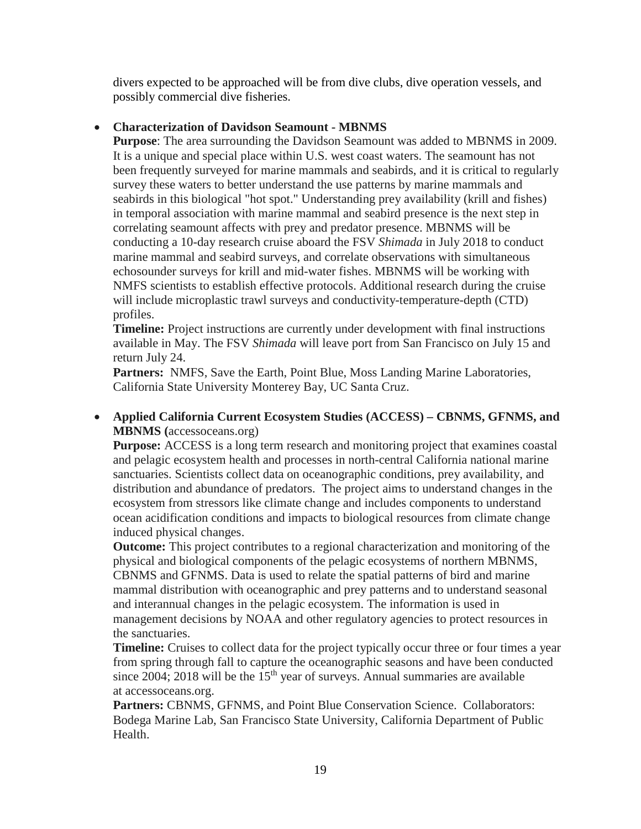divers expected to be approached will be from dive clubs, dive operation vessels, and possibly commercial dive fisheries.

# • **Characterization of Davidson Seamount - MBNMS**

**Purpose**: The area surrounding the Davidson Seamount was added to MBNMS in 2009. It is a unique and special place within U.S. west coast waters. The seamount has not been frequently surveyed for marine mammals and seabirds, and it is critical to regularly survey these waters to better understand the use patterns by marine mammals and seabirds in this biological "hot spot." Understanding prey availability (krill and fishes) in temporal association with marine mammal and seabird presence is the next step in correlating seamount affects with prey and predator presence. MBNMS will be conducting a 10-day research cruise aboard the FSV *Shimada* in July 2018 to conduct marine mammal and seabird surveys, and correlate observations with simultaneous echosounder surveys for krill and mid-water fishes. MBNMS will be working with NMFS scientists to establish effective protocols. Additional research during the cruise will include microplastic trawl surveys and conductivity-temperature-depth (CTD) profiles.

**Timeline:** Project instructions are currently under development with final instructions available in May. The FSV *Shimada* will leave port from San Francisco on July 15 and return July 24.

**Partners:** NMFS, Save the Earth, Point Blue, Moss Landing Marine Laboratories, California State University Monterey Bay, UC Santa Cruz.

# • **Applied California Current Ecosystem Studies (ACCESS) – CBNMS, GFNMS, and MBNMS (**accessoceans.org)

**Purpose:** ACCESS is a long term research and monitoring project that examines coastal and pelagic ecosystem health and processes in north-central California national marine sanctuaries. Scientists collect data on oceanographic conditions, prey availability, and distribution and abundance of predators. The project aims to understand changes in the ecosystem from stressors like climate change and includes components to understand ocean acidification conditions and impacts to biological resources from climate change induced physical changes.

**Outcome:** This project contributes to a regional characterization and monitoring of the physical and biological components of the pelagic ecosystems of northern MBNMS, CBNMS and GFNMS. Data is used to relate the spatial patterns of bird and marine mammal distribution with oceanographic and prey patterns and to understand seasonal and interannual changes in the pelagic ecosystem. The information is used in management decisions by NOAA and other regulatory agencies to protect resources in the sanctuaries.

**Timeline:** Cruises to collect data for the project typically occur three or four times a year from spring through fall to capture the oceanographic seasons and have been conducted since  $2004$ ;  $2018$  will be the  $15<sup>th</sup>$  year of surveys. Annual summaries are available at accessoceans.org.

**Partners:** CBNMS, GFNMS, and Point Blue Conservation Science. Collaborators: Bodega Marine Lab, San Francisco State University, California Department of Public Health.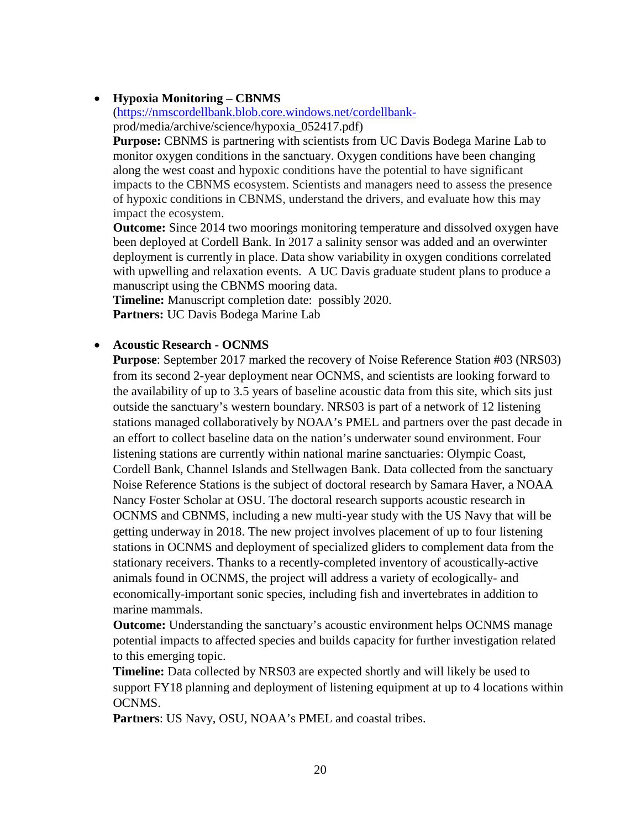# • **Hypoxia Monitoring – CBNMS**

[\(https://nmscordellbank.blob.core.windows.net/cordellbank](https://nmscordellbank.blob.core.windows.net/cordellbank-)prod/media/archive/science/hypoxia\_052417.pdf)

**Purpose:** CBNMS is partnering with scientists from UC Davis Bodega Marine Lab to monitor oxygen conditions in the sanctuary. Oxygen conditions have been changing along the west coast and hypoxic conditions have the potential to have significant impacts to the CBNMS ecosystem. Scientists and managers need to assess the presence of hypoxic conditions in CBNMS, understand the drivers, and evaluate how this may impact the ecosystem.

**Outcome:** Since 2014 two moorings monitoring temperature and dissolved oxygen have been deployed at Cordell Bank. In 2017 a salinity sensor was added and an overwinter deployment is currently in place. Data show variability in oxygen conditions correlated with upwelling and relaxation events. A UC Davis graduate student plans to produce a manuscript using the CBNMS mooring data.

**Timeline:** Manuscript completion date: possibly 2020. **Partners:** UC Davis Bodega Marine Lab

# • **Acoustic Research - OCNMS**

**Purpose**: September 2017 marked the recovery of Noise Reference Station #03 (NRS03) from its second 2-year deployment near OCNMS, and scientists are looking forward to the availability of up to 3.5 years of baseline acoustic data from this site, which sits just outside the sanctuary's western boundary. NRS03 is part of a network of 12 listening stations managed collaboratively by NOAA's PMEL and partners over the past decade in an effort to collect baseline data on the nation's underwater sound environment. Four listening stations are currently within national marine sanctuaries: Olympic Coast, Cordell Bank, Channel Islands and Stellwagen Bank. Data collected from the sanctuary Noise Reference Stations is the subject of doctoral research by Samara Haver, a NOAA Nancy Foster Scholar at OSU. The doctoral research supports acoustic research in OCNMS and CBNMS, including a new multi-year study with the US Navy that will be getting underway in 2018. The new project involves placement of up to four listening stations in OCNMS and deployment of specialized gliders to complement data from the stationary receivers. Thanks to a recently-completed inventory of acoustically-active animals found in OCNMS, the project will address a variety of ecologically- and economically-important sonic species, including fish and invertebrates in addition to marine mammals.

**Outcome:** Understanding the sanctuary's acoustic environment helps OCNMS manage potential impacts to affected species and builds capacity for further investigation related to this emerging topic.

**Timeline:** Data collected by NRS03 are expected shortly and will likely be used to support FY18 planning and deployment of listening equipment at up to 4 locations within OCNMS.

**Partners**: US Navy, OSU, NOAA's PMEL and coastal tribes.